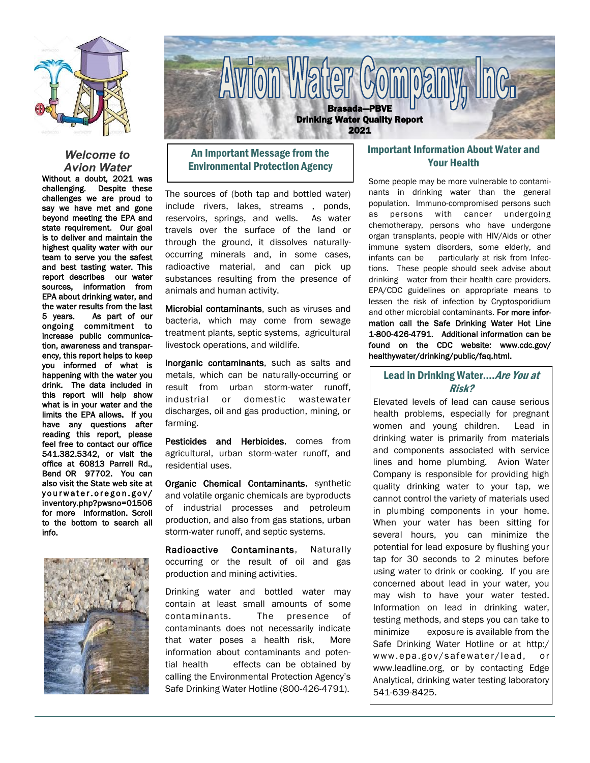

#### *Welcome to Avion Water*

Without a doubt, 2021 was challenging. Despite these challenges we are proud to say we have met and gone beyond meeting the EPA and state requirement. Our goal is to deliver and maintain the highest quality water with our team to serve you the safest and best tasting water. This report describes our water sources, information from EPA about drinking water, and the water results from the last 5 years. As part of our ongoing commitment to increase public communication, awareness and transparency, this report helps to keep you informed of what is happening with the water you drink. The data included in this report will help show what is in your water and the limits the EPA allows. If you have any questions after reading this report, please feel free to contact our office 541.382.5342, or visit the office at 60813 Parrell Rd., Bend OR 97702. You can also visit the State web site at yourwater.oregon.gov/ inventory.php?pwsno=01506 for more information. Scroll to the bottom to search all info.





# An Important Message from the Environmental Protection Agency

The sources of (both tap and bottled water) include rivers, lakes, streams , ponds, reservoirs, springs, and wells. As water travels over the surface of the land or through the ground, it dissolves naturallyoccurring minerals and, in some cases, radioactive material, and can pick up substances resulting from the presence of animals and human activity.

Microbial contaminants, such as viruses and bacteria, which may come from sewage treatment plants, septic systems, agricultural livestock operations, and wildlife.

Inorganic contaminants, such as salts and metals, which can be naturally-occurring or result from urban storm-water runoff, industrial or domestic wastewater discharges, oil and gas production, mining, or farming.

Pesticides and Herbicides, comes from agricultural, urban storm-water runoff, and residential uses.

Organic Chemical Contaminants, synthetic and volatile organic chemicals are byproducts of industrial processes and petroleum production, and also from gas stations, urban storm-water runoff, and septic systems.

Radioactive Contaminants, Naturally occurring or the result of oil and gas production and mining activities.

Drinking water and bottled water may contain at least small amounts of some contaminants. The presence of contaminants does not necessarily indicate that water poses a health risk, More information about contaminants and potential health effects can be obtained by calling the Environmental Protection Agency's Safe Drinking Water Hotline (800-426-4791).

## Important Information About Water and Your Health

Some people may be more vulnerable to contaminants in drinking water than the general population. Immuno-compromised persons such as persons with cancer undergoing chemotherapy, persons who have undergone organ transplants, people with HIV/Aids or other immune system disorders, some elderly, and infants can be particularly at risk from Infections. These people should seek advise about drinking water from their health care providers. EPA/CDC guidelines on appropriate means to lessen the risk of infection by Cryptosporidium and other microbial contaminants. For more information call the Safe Drinking Water Hot Line 1-800-426-4791. Additional information can be found on the CDC website: www.cdc.gov/ healthywater/drinking/public/faq.html.

## Lead in Drinking Water.... Are You at Risk?

Elevated levels of lead can cause serious health problems, especially for pregnant women and young children. Lead in drinking water is primarily from materials and components associated with service lines and home plumbing. Avion Water Company is responsible for providing high quality drinking water to your tap, we cannot control the variety of materials used in plumbing components in your home. When your water has been sitting for several hours, you can minimize the potential for lead exposure by flushing your tap for 30 seconds to 2 minutes before using water to drink or cooking. If you are concerned about lead in your water, you may wish to have your water tested. Information on lead in drinking water, testing methods, and steps you can take to minimize exposure is available from the Safe Drinking Water Hotline or at http:/ www.epa.gov/safewater/lead, or www.leadline.org, or by contacting Edge Analytical, drinking water testing laboratory 541-639-8425.